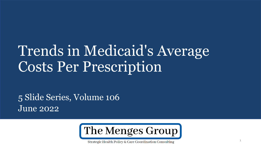# Trends in Medicaid's Average Costs Per Prescription

5 Slide Series, Volume 106 June 2022



Strategic Health Policy & Care Coordination Consulting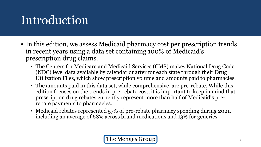## Introduction

- In this edition, we assess Medicaid pharmacy cost per prescription trends in recent years using a data set containing 100% of Medicaid's prescription drug claims.
	- The Centers for Medicare and Medicaid Services (CMS) makes National Drug Code (NDC) level data available by calendar quarter for each state through their Drug Utilization Files, which show prescription volume and amounts paid to pharmacies.
	- The amounts paid in this data set, while comprehensive, are pre-rebate. While this edition focuses on the trends in pre-rebate cost, it is important to keep in mind that prescription drug rebates currently represent more than half of Medicaid's prerebate payments to pharmacies.
	- Medicaid rebates represented 57% of pre-rebate pharmacy spending during 2021, including an average of 68% across brand medications and 13% for generics.

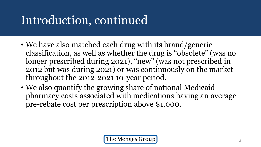# Introduction, continued

- We have also matched each drug with its brand/generic classification, as well as whether the drug is "obsolete" (was no longer prescribed during 2021), "new" (was not prescribed in 2012 but was during 2021) or was continuously on the market throughout the 2012-2021 10-year period.
- We also quantify the growing share of national Medicaid pharmacy costs associated with medications having an average pre-rebate cost per prescription above \$1,000.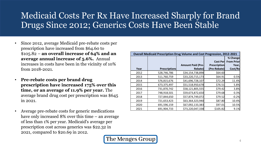#### Medicaid Costs Per Rx Have Increased Sharply for Brand Drugs Since 2012; Generics Costs Have Been Stable

- Since 2012, average Medicaid pre-rebate costs per prescription have increased from \$64.60 to \$105.82 – **an overall increase of 64% and an average annual increase of 5.6%.** Annual increases in costs have been in the vicinity of 10% from 2018-2021.
- **Pre-rebate costs per brand drug prescription have increased 175% over this time, or an average of 11.9% per year.** The average brand drug cost per prescription was \$645 in 2021.
- Average pre-rebate costs for generic medications have only increased 8% over this time – an average of less than 1% per year. Medicaid's average per prescription cost across generics was \$22.32 in 2021, compared to \$20.69 in 2012.

| <b>Overall Medicaid Prescription Drug Volume and Cost Progression, 2012-2021</b> |                      |                          |                     |                   |
|----------------------------------------------------------------------------------|----------------------|--------------------------|---------------------|-------------------|
|                                                                                  |                      |                          |                     | % Change          |
|                                                                                  |                      |                          | <b>Cost Perl</b>    | <b>From Prior</b> |
|                                                                                  |                      | <b>Amount Paid (Pre-</b> | <b>Prescription</b> | Year,             |
| Year                                                                             | <b>Prescriptions</b> | Rebate)                  | (Pre-Rebate)        | Cost/Rx           |
| 2012                                                                             | 528,746,786          | \$34,154,738,898         | \$64.60             |                   |
| 2013                                                                             | 511,760,759          | \$33,220,715,173         | \$64.91             | 0.5%              |
| 2014                                                                             | 576,815,676          | \$41,696,728,107         | \$72.29             | 11.4%             |
| 2015                                                                             | 673,375,497          | \$51,518,950,678         | \$76.51             | 5.8%              |
| 2016                                                                             | 731,870,742          | \$58,121,805,555         | \$79.42             | 3.8%              |
| 2017                                                                             | 748,918,501          | \$59,673,872,650         | \$79.68             | 0.3%              |
| 2018                                                                             | 727,844,650          | \$57,874,749,072         | \$79.52             | $-0.2%$           |
| 2019                                                                             | 721,653,423          | \$63,364,323,940         | \$87.80             | 10.4%             |
| 2020                                                                             | 691,596,159          | \$67,092,133,383         | \$97.01             | 10.5%             |
| 2021                                                                             | 691,904,733          | \$73,220,047,338         | \$105.82            | 9.1%              |

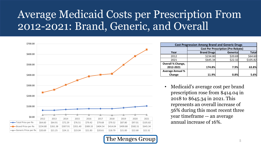#### Average Medicaid Costs per Prescription From 2012-2021: Brand, Generic, and Overall



| <b>Cost Progression Among Brand and Generic Drugs</b> |                                           |                 |              |
|-------------------------------------------------------|-------------------------------------------|-----------------|--------------|
|                                                       | <b>Cost Per Prescription (Pre-Rebate)</b> |                 |              |
| Year                                                  | <b>Brand Drugs</b>                        | <b>Generics</b> | <b>Total</b> |
| 2012                                                  | \$234.80                                  | \$20.69         | \$64.60      |
| 2021                                                  | \$645.34                                  | \$22.32         | \$105.82     |
| Overall % Change,                                     |                                           |                 |              |
| 2012-2021                                             | 174.8%                                    | 7.9%            | 63.8%        |
| <b>Average Annual %</b>                               |                                           |                 |              |
| Change                                                | 11.9%                                     | 0.8%            | 5.6%         |

• Medicaid's average cost per brand prescription rose from \$414.04 in 2018 to \$645.34 in 2021. This represents an overall increase of 56% during this most recent three year timeframe -- an average annual increase of 16%.

The Menges Group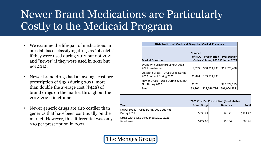### Newer Brand Medications are Particularly Costly to the Medicaid Program

- We examine the lifespan of medications in our database, classifying drugs as "obsolete" if they were used during 2012 but not 2021 and "newer" if they were used in 2021 but not 2012.
- Newer brand drugs had an average cost per prescription of \$939 during 2021, more than double the average cost (\$428) of brand drugs on the market throughout the 2012-2021 timeframe.
- Newer generic drugs are also costlier than generics that have been continually on the market. However, this differential was only \$10 per prescription in 2021.

| <b>Distribution of Medicaid Drugs by Market Presence</b>        |                         |                     |                                                        |
|-----------------------------------------------------------------|-------------------------|---------------------|--------------------------------------------------------|
| <b>Market Duration</b>                                          | <b>Number</b><br>of NDC | <b>Prescription</b> | <b>Prescription</b><br>Codes Volume, 2012 Volume, 2021 |
| Drugs with usage throughout 2012-<br>2021 timeframe             | 9,709                   | 368,914,793         | 311,825,438                                            |
| Obsolete Drugs -- Drugs Used During<br>2012 but Not During 2021 | 21,844                  | 159,831,993         |                                                        |
| Newer Drugs -- Used During 2021 but<br>Not During 2012          | 21,751                  |                     | 380,079,295                                            |
| <b>Total</b>                                                    | 53,304                  | 528,746,786         | 691,904,733                                            |

|                                         | 2021 Cost Per Prescription (Pre-Rebate) |                 |              |
|-----------------------------------------|-----------------------------------------|-----------------|--------------|
| <b>Year</b>                             | <b>Brand Drugs</b>                      | <b>Generics</b> | <b>Total</b> |
| Newer Drugs -- Used During 2021 but Not |                                         |                 |              |
| During 2012                             | \$939.21                                | \$26.71         | \$121.47     |
| Drugs with usage throughout 2012-2021   |                                         |                 |              |
| timeframe                               | \$427.60                                | \$16.54         | \$86.76      |

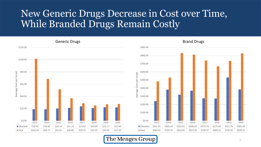#### New Generic Drugs Decrease in Cost over Time, While Branded Drugs Remain Costly



The Menges Group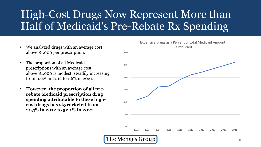### High-Cost Drugs Now Represent More than Half of Medicaid's Pre-Rebate Rx Spending

- We analyzed drugs with an average cost Reimbursed above \$1,000 per prescription.
- The proportion of all Medicaid prescriptions with an average cost above \$1,000 is modest, steadily increasing from 0.6% in 2012 to 1.6% in 2021.
- **However, the proportion of all prerebate Medicaid prescription drug spending attributable to these highcost drugs has skyrocketed from 21.5% in 2012 to 52.1% in 2021.**

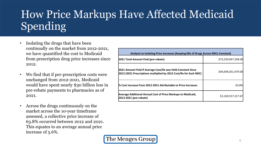### How Price Markups Have Affected Medicaid Spending

- Isolating the drugs that have been continually on the market from 2012-2021, we have quantified the cost to Medicaid from prescription drug price increases since 2012.
- We find that if per-prescription costs were unchanged from 2012-2021, Medicaid would have spent nearly \$30 billion less in pre-rebate payments to pharmacies as of 2021.
- Across the drugs continuously on the market across the 10-year timeframe assessed, a collective price increase of 63.8% occurred between 2012 and 2021. This equates to an average annual price increase of 5.6%.

| Analysis to Isolating Price Increases (Keeping Mix of Drugs Across NDCs Constant)                                                |                     |  |
|----------------------------------------------------------------------------------------------------------------------------------|---------------------|--|
| 2021 Total Amount Paid (pre-rebate)                                                                                              | \$73,220,047,338.00 |  |
| 2021 Amount Paid if Average Cost/Rx was Held Constant Since<br>2012 (2021 Prescriptions multiplied by 2012 Cost/Rx for Each NDC) | \$44,694,031,479.00 |  |
| % Cost Increase From 2012-2021 Attributable to Price Increases                                                                   | 63.8%               |  |
| Average Additional Annual Cost of Price Markups to Medicaid,<br>2013-2021 (pre-rebate)                                           | \$3,169,557,317.67  |  |